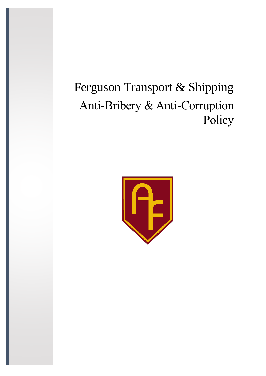# Ferguson Transport & Shipping Anti-Bribery & Anti-Corruption Policy

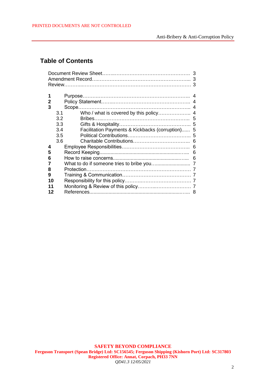# **Table of Contents**

| 3<br>3      |                                                         |  |  |  |  |  |  |  |
|-------------|---------------------------------------------------------|--|--|--|--|--|--|--|
|             | 3                                                       |  |  |  |  |  |  |  |
| 1<br>2<br>3 | 4<br>3.1<br>3.2<br>5<br>3.3                             |  |  |  |  |  |  |  |
|             | 3.4<br>Facilitation Payments & Kickbacks (corruption) 5 |  |  |  |  |  |  |  |
|             | 3.5<br>3.6                                              |  |  |  |  |  |  |  |
| 4           | 6                                                       |  |  |  |  |  |  |  |
| 5           | 6                                                       |  |  |  |  |  |  |  |
| 6           | 6                                                       |  |  |  |  |  |  |  |
|             |                                                         |  |  |  |  |  |  |  |
| 8           |                                                         |  |  |  |  |  |  |  |
| 9           |                                                         |  |  |  |  |  |  |  |
| 10          |                                                         |  |  |  |  |  |  |  |
| 11<br>12    | 8                                                       |  |  |  |  |  |  |  |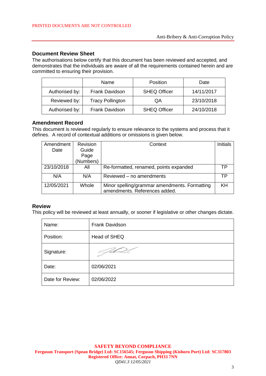#### **Document Review Sheet**

The authorisations below certify that this document has been reviewed and accepted, and demonstrates that the individuals are aware of all the requirements contained herein and are committed to ensuring their provision.

|                | Name                    | Position            | Date       |
|----------------|-------------------------|---------------------|------------|
| Authorised by: | <b>Frank Davidson</b>   | <b>SHEQ Officer</b> | 14/11/2017 |
| Reviewed by:   | <b>Tracy Pollington</b> | QA                  | 23/10/2018 |
| Authorised by: | <b>Frank Davidson</b>   | <b>SHEQ Officer</b> | 24/10/2018 |

#### **Amendment Record**

This document is reviewed regularly to ensure relevance to the systems and process that it defines. A record of contextual additions or omissions is given below.

| Amendment  | Revision  | Context                                                                        | <b>Initials</b> |
|------------|-----------|--------------------------------------------------------------------------------|-----------------|
| Date       | Guide     |                                                                                |                 |
|            | Page      |                                                                                |                 |
|            | (Numbers) |                                                                                |                 |
| 23/10/2018 | All       | Re-formatted, renamed, points expanded                                         | ТP              |
| N/A        | N/A       | Reviewed - no amendments                                                       | ТP              |
| 12/05/2021 | Whole     | Minor spelling/grammar amendments. Formatting<br>amendments. References added. | KH              |

#### **Review**

This policy will be reviewed at least annually, or sooner if legislative or other changes dictate.

| Name:            | Frank Davidson |
|------------------|----------------|
| Position:        | Head of SHEQ   |
| Signature:       |                |
| Date:            | 02/06/2021     |
| Date for Review: | 02/06/2022     |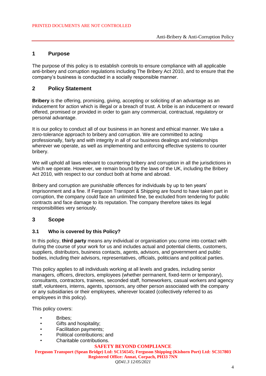#### **1 Purpose**

The purpose of this policy is to establish controls to ensure compliance with all applicable anti-bribery and corruption regulations including The Bribery Act 2010, and to ensure that the company's business is conducted in a socially responsible manner.

## **2 Policy Statement**

**Bribery** is the offering, promising, giving, accepting or soliciting of an advantage as an inducement for action which is illegal or a breach of trust. A bribe is an inducement or reward offered, promised or provided in order to gain any commercial, contractual, regulatory or personal advantage.

It is our policy to conduct all of our business in an honest and ethical manner. We take a zero-tolerance approach to bribery and corruption. We are committed to acting professionally, fairly and with integrity in all of our business dealings and relationships wherever we operate, as well as implementing and enforcing effective systems to counter bribery.

We will uphold all laws relevant to countering bribery and corruption in all the jurisdictions in which we operate. However, we remain bound by the laws of the UK, including the Bribery Act 2010, with respect to our conduct both at home and abroad.

Bribery and corruption are punishable offences for individuals by up to ten years' imprisonment and a fine. If Ferguson Transport & Shipping are found to have taken part in corruption, the company could face an unlimited fine, be excluded from tendering for public contracts and face damage to its reputation. The company therefore takes its legal responsibilities very seriously.

#### **3 Scope**

#### **3.1 Who is covered by this Policy?**

In this policy, **third party** means any individual or organisation you come into contact with during the course of your work for us and includes actual and potential clients, customers, suppliers, distributors, business contacts, agents, advisors, and government and public bodies, including their advisors, representatives, officials, politicians and political parties.

This policy applies to all individuals working at all levels and grades, including senior managers, officers, directors, employees (whether permanent, fixed-term or temporary), consultants, contractors, trainees, seconded staff, homeworkers, casual workers and agency staff, volunteers, interns, agents, sponsors, any other person associated with the company or any subsidiaries or their employees, wherever located (collectively referred to as employees in this policy).

This policy covers:

- Bribes:
- Gifts and hospitality;
- Facilitation payments;
- Political contributions; and
- Charitable contributions.

#### **SAFETY BEYOND COMPLIANCE**

**Ferguson Transport (Spean Bridge) Ltd: SC156545; Ferguson Shipping (Kishorn Port) Ltd: SC317803 Registered Office: Annat, Corpach, PH33 7NN** *QD41.3 12/05/2021*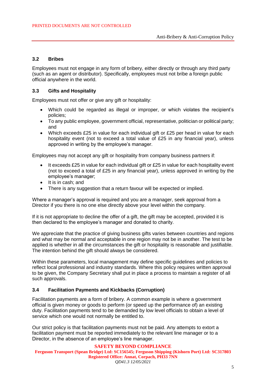#### **3.2 Bribes**

Employees must not engage in any form of bribery, either directly or through any third party (such as an agent or distributor). Specifically, employees must not bribe a foreign public official anywhere in the world.

#### **3.3 Gifts and Hospitality**

Employees must not offer or give any gift or hospitality:

- Which could be regarded as illegal or improper, or which violates the recipient's policies;
- To any public employee, government official, representative, politician or political party; and
- Which exceeds £25 in value for each individual gift or £25 per head in value for each hospitality event (not to exceed a total value of £25 in any financial year), unless approved in writing by the employee's manager.

Employees may not accept any gift or hospitality from company business partners if:

- $\bullet$  It exceeds £25 in value for each individual gift or £25 in value for each hospitality event (not to exceed a total of £25 in any financial year), unless approved in writing by the employee's manager;
- It is in cash; and
- There is any suggestion that a return favour will be expected or implied.

Where a manager's approval is required and you are a manager, seek approval from a Director if you there is no one else directly above your level within the company.

If it is not appropriate to decline the offer of a gift, the gift may be accepted, provided it is then declared to the employee's manager and donated to charity.

We appreciate that the practice of giving business gifts varies between countries and regions and what may be normal and acceptable in one region may not be in another. The test to be applied is whether in all the circumstances the gift or hospitality is reasonable and justifiable. The intention behind the gift should always be considered.

Within these parameters, local management may define specific guidelines and policies to reflect local professional and industry standards. Where this policy requires written approval to be given, the Company Secretary shall put in place a process to maintain a register of all such approvals.

#### **3.4 Facilitation Payments and Kickbacks (Corruption)**

Facilitation payments are a form of bribery. A common example is where a government official is given money or goods to perform (or speed up the performance of) an existing duty. Facilitation payments tend to be demanded by low level officials to obtain a level of service which one would not normally be entitled to.

Our strict policy is that facilitation payments must not be paid. Any attempts to extort a facilitation payment must be reported immediately to the relevant line manager or to a Director, in the absence of an employee's line manager.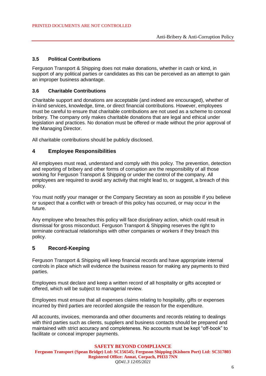#### **3.5 Political Contributions**

Ferguson Transport & Shipping does not make donations, whether in cash or kind, in support of any political parties or candidates as this can be perceived as an attempt to gain an improper business advantage.

#### **3.6 Charitable Contributions**

Charitable support and donations are acceptable (and indeed are encouraged), whether of in-kind services, knowledge, time, or direct financial contributions. However, employees must be careful to ensure that charitable contributions are not used as a scheme to conceal bribery. The company only makes charitable donations that are legal and ethical under legislation and practices. No donation must be offered or made without the prior approval of the Managing Director.

All charitable contributions should be publicly disclosed.

#### **4 Employee Responsibilities**

All employees must read, understand and comply with this policy. The prevention, detection and reporting of bribery and other forms of corruption are the responsibility of all those working for Ferguson Transport & Shipping or under the control of the company. All employees are required to avoid any activity that might lead to, or suggest, a breach of this policy.

You must notify your manager or the Company Secretary as soon as possible if you believe or suspect that a conflict with or breach of this policy has occurred, or may occur in the future.

Any employee who breaches this policy will face disciplinary action, which could result in dismissal for gross misconduct. Ferguson Transport & Shipping reserves the right to terminate contractual relationships with other companies or workers if they breach this policy.

#### **5 Record-Keeping**

Ferguson Transport & Shipping will keep financial records and have appropriate internal controls in place which will evidence the business reason for making any payments to third parties.

Employees must declare and keep a written record of all hospitality or gifts accepted or offered, which will be subject to managerial review.

Employees must ensure that all expenses claims relating to hospitality, gifts or expenses incurred by third parties are recorded alongside the reason for the expenditure.

All accounts, invoices, memoranda and other documents and records relating to dealings with third parties such as clients, suppliers and business contacts should be prepared and maintained with strict accuracy and completeness. No accounts must be kept "off-book" to facilitate or conceal improper payments.

**SAFETY BEYOND COMPLIANCE Ferguson Transport (Spean Bridge) Ltd: SC156545; Ferguson Shipping (Kishorn Port) Ltd: SC317803 Registered Office: Annat, Corpach, PH33 7NN** *QD41.3 12/05/2021*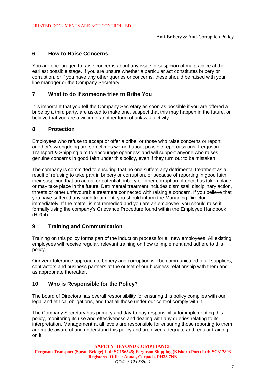### **6 How to Raise Concerns**

You are encouraged to raise concerns about any issue or suspicion of malpractice at the earliest possible stage. If you are unsure whether a particular act constitutes bribery or corruption, or if you have any other queries or concerns, these should be raised with your line manager or the Company Secretary.

### **7 What to do if someone tries to Bribe You**

It is important that you tell the Company Secretary as soon as possible if you are offered a bribe by a third party, are asked to make one, suspect that this may happen in the future, or believe that you are a victim of another form of unlawful activity.

#### **8 Protection**

Employees who refuse to accept or offer a bribe, or those who raise concerns or report another's wrongdoing are sometimes worried about possible repercussions. Ferguson Transport & Shipping aim to encourage openness and will support anyone who raises genuine concerns in good faith under this policy, even if they turn out to be mistaken.

The company is committed to ensuring that no one suffers any detrimental treatment as a result of refusing to take part in bribery or corruption, or because of reporting in good faith their suspicion that an actual or potential bribery or other corruption offence has taken place, or may take place in the future. Detrimental treatment includes dismissal, disciplinary action, threats or other unfavourable treatment connected with raising a concern. If you believe that you have suffered any such treatment, you should inform the Managing Director immediately. If the matter is not remedied and you are an employee, you should raise it formally using the company's Grievance Procedure found within the Employee Handbook (HR04).

# **9 Training and Communication**

Training on this policy forms part of the induction process for all new employees. All existing employees will receive regular, relevant training on how to implement and adhere to this policy.

Our zero-tolerance approach to bribery and corruption will be communicated to all suppliers, contractors and business partners at the outset of our business relationship with them and as appropriate thereafter.

#### **10 Who is Responsible for the Policy?**

The board of Directors has overall responsibility for ensuring this policy complies with our legal and ethical obligations, and that all those under our control comply with it.

The Company Secretary has primary and day-to-day responsibility for implementing this policy, monitoring its use and effectiveness and dealing with any queries relating to its interpretation. Management at all levels are responsible for ensuring those reporting to them are made aware of and understand this policy and are given adequate and regular training on it.